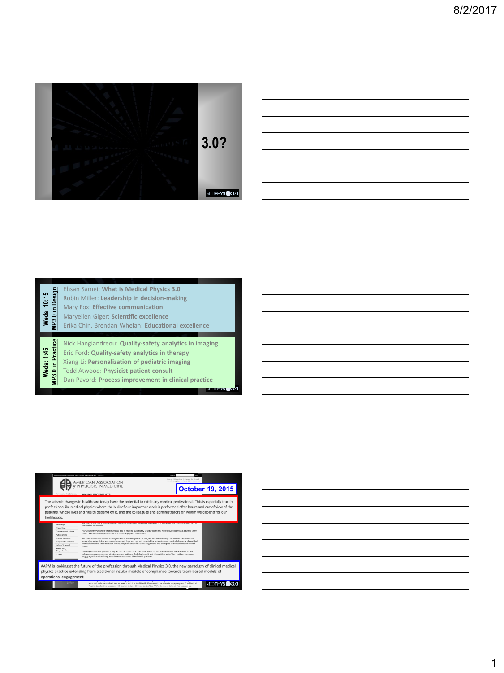

# Weds: 10:15<br>MP3.0 in Design **MP3.0 in Design Weds: 10:15**

Ehsan Samei: **What is Medical Physics 3.0** Robin Miller: **Leadership in decision-making**

Mary Fox: **Effective communication** 

Maryellen Giger: **Scientific excellence** 

Erika Chin, Brendan Whelan: **Educational excellence** 

Nick Hangiandreou: **Quality-safety analytics in imaging** 

**Weds: 1:45<br>MP3.0 in Practice MP3.0 in Practice** Eric Ford: **Quality-safety analytics in therapy** 

Xiang Li: **Personalization of pediatric imaging**

Todd Atwood: **Physicist patient consult**

Dan Pavord: **Process improvement in clinical practice**

 $500$ **ENS** 

|                                                                                                                                                                                                                                                                                                                                                                                      | Unencrypted   Logged In as Dr. Same), AAPM (D# 883   Loggulf<br><b>Council</b><br>Home   Directory   Coreer Services<br>Continuing Islugation 1,885 1 Contact<br><b>AMERICAN ASSOCIATION</b>                                                                                                                            |  |  |  |  |  |  |  |
|--------------------------------------------------------------------------------------------------------------------------------------------------------------------------------------------------------------------------------------------------------------------------------------------------------------------------------------------------------------------------------------|-------------------------------------------------------------------------------------------------------------------------------------------------------------------------------------------------------------------------------------------------------------------------------------------------------------------------|--|--|--|--|--|--|--|
|                                                                                                                                                                                                                                                                                                                                                                                      | <b>HYSICISTS IN MEDICINE</b><br><b>October 19, 2015</b>                                                                                                                                                                                                                                                                 |  |  |  |  |  |  |  |
| Advancing the Science                                                                                                                                                                                                                                                                                                                                                                | <b>ANNOUNCEMENTS</b>                                                                                                                                                                                                                                                                                                    |  |  |  |  |  |  |  |
| The seismic changes in healthcare today have the potential to rattle any medical professional. This is especially true in<br>professions like medical physics where the bulk of our important work is performed after hours and out of view of the<br>patients, whose lives and health depend on it, and the colleagues and administrators on whom we depend for our<br>livelihoods. |                                                                                                                                                                                                                                                                                                                         |  |  |  |  |  |  |  |
| Meetings                                                                                                                                                                                                                                                                                                                                                                             | are arriang the many challenges that condition to threaten not past the careers of movebasis, out the very visitory of the<br>profession as a whole.                                                                                                                                                                    |  |  |  |  |  |  |  |
| Febuordine                                                                                                                                                                                                                                                                                                                                                                           |                                                                                                                                                                                                                                                                                                                         |  |  |  |  |  |  |  |
| Government Affoin                                                                                                                                                                                                                                                                                                                                                                    | AAPM is keenly aware of these threats and is making it a priority to address them. We believe that not to address them.<br>could have dire consequences for the medical physics profession.                                                                                                                             |  |  |  |  |  |  |  |
| Publications:                                                                                                                                                                                                                                                                                                                                                                        |                                                                                                                                                                                                                                                                                                                         |  |  |  |  |  |  |  |
| Consex Services                                                                                                                                                                                                                                                                                                                                                                      | We also believe this needs to be a joint effort involving all of us, not just AAPM leadership. We want our members to                                                                                                                                                                                                   |  |  |  |  |  |  |  |
| Corporate Affilates                                                                                                                                                                                                                                                                                                                                                                  | know what we're doing and, more important, how you can join us in taking action to keep medical physics and qualified<br>medical physicists indispensable in ensuring safe and efficacious diagnostics and therapies to the patients who need                                                                           |  |  |  |  |  |  |  |
| Links of Interest                                                                                                                                                                                                                                                                                                                                                                    | them.                                                                                                                                                                                                                                                                                                                   |  |  |  |  |  |  |  |
| Acheerbings<br>Coportunities<br>Logout                                                                                                                                                                                                                                                                                                                                               | Possibly the most important thing we can do is step out from behind the curtain and make our value known to our<br>colleggues, supervisors, administrators and patients. Radiologists did just this, getting out of the reading rooms and<br>engaging with their colleagues, administrators and directly with patients. |  |  |  |  |  |  |  |
| AAPM is looking at the future of the profession through Medical Physics 3.0, the new paradigm of clinical medical<br>physics practice extending from traditional insular models of compliance towards team-based models of<br>operational engagement.                                                                                                                                |                                                                                                                                                                                                                                                                                                                         |  |  |  |  |  |  |  |
| 1130000                                                                                                                                                                                                                                                                                                                                                                              | personalized care and evidence-based medicine, AAPM will offer a continuous leadership program. The Medical<br>MD <b>PHY</b><br>Physics Leadership Academy will launch in lune 2016 as part of the AAPM Summer School. The Leadun hip                                                                                   |  |  |  |  |  |  |  |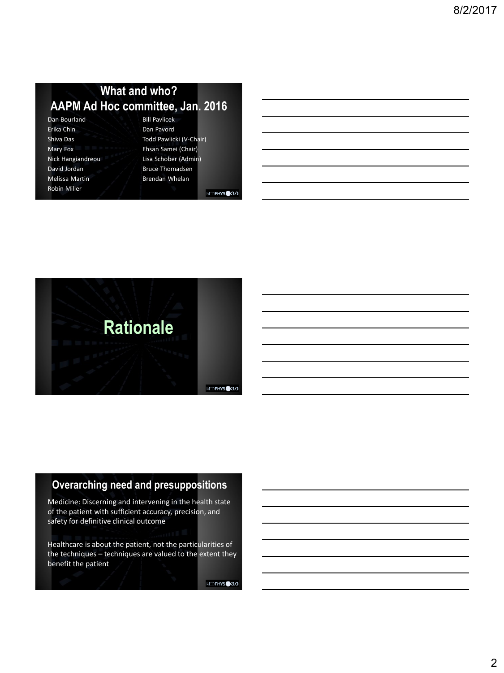# **What and who? AAPM Ad Hoc committee, Jan. 2016**

| Dan Bourland          |  |
|-----------------------|--|
| Erika Chin            |  |
| Shiva Das             |  |
| Mary Fox              |  |
| Nick Hangiandreou     |  |
| David Jordan          |  |
| <b>Melissa Martin</b> |  |
| <b>Robin Miller</b>   |  |

Bill Pavlicek Dan Pavord Todd Pawlicki (V-Chair) Ehsan Samei (Chair) Lisa Schober (Admin) Bruce Thomadsen Brendan Whelan

MEDPHYS<sup>3.0</sup>



# **Overarching need and presuppositions**

Medicine: Discerning and intervening in the health state of the patient with sufficient accuracy, precision, and safety for definitive clinical outcome

Healthcare is about the patient, not the particularities of the techniques – techniques are valued to the extent they benefit the patient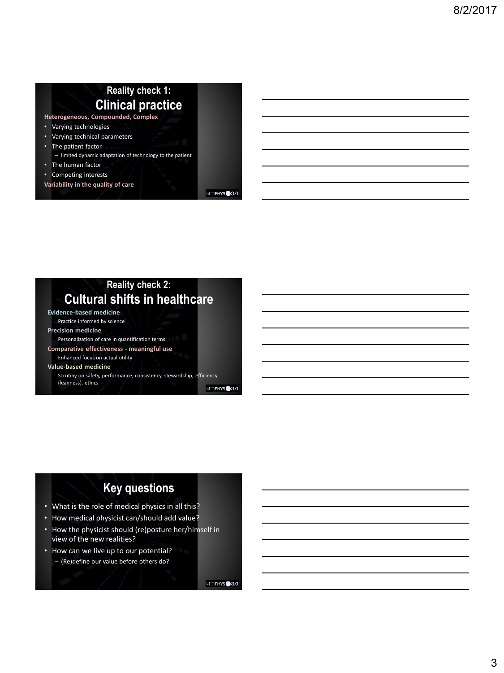# **Reality check 1: Clinical practice**

**Heterogeneous, Compounded, Complex** 

- Varying technologies
- Varying technical parameters
- The patient factor
	- limited dynamic adaptation of technology to the patient
- The human factor
- Competing interests
- **Variability in the quality of care**

MEDPHYS<sup>3.0</sup>

#### **Reality check 2: Cultural shifts in healthcare Evidence-based medicine** Practice informed by science **Precision medicine** Personalization of care in quantification terms **Comparative effectiveness - meaningful use** Enhanced focus on actual utility **Value-based medicine** Scrutiny on safety, performance, consistency, stewardship, efficiency (leanness), ethics

MDPHYS<sup>3.0</sup>

# **Key questions**

- What is the role of medical physics in all this?
- How medical physicist can/should add value?
- How the physicist should (re)posture her/himself in view of the new realities?
- How can we live up to our potential? – (Re)define our value before others do?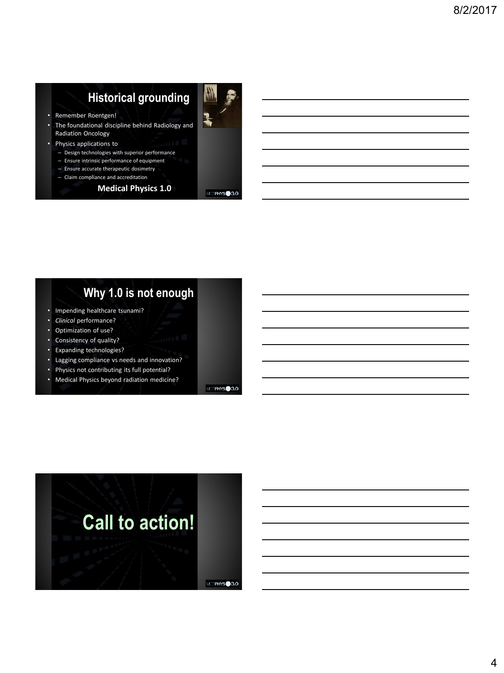# **Historical grounding**



- Remember Roentgen!
- The foundational discipline behind Radiology and Radiation Oncology
- Physics applications to
	- Design technologies with superior performance
	- Ensure intrinsic performance of equipment
	- Ensure accurate therapeutic dosimetry
	- Claim compliance and accreditation

#### **Medical Physics 1.0**



# **Why 1.0 is not enough**

- Impending healthcare tsunami?
- *Clinical* performance?
- Optimization of use? Consistency of quality?
- Expanding technologies?
- Lagging compliance vs needs and innovation?
- Physics not contributing its full potential?
- Medical Physics beyond radiation medicine?

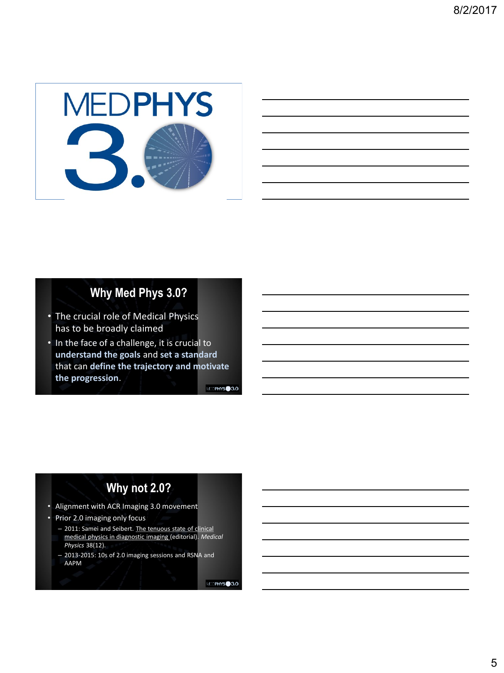

# **Why Med Phys 3.0?**

- The crucial role of Medical Physics has to be broadly claimed
- In the face of a challenge, it is crucial to **understand the goals** and **set a standard**  that can **define the trajectory and motivate the progression**.

MEDPHYS<sup>3.0</sup>

# **Why not 2.0?**

- Alignment with ACR Imaging 3.0 movement
- Prior 2.0 imaging only focus
	- 2011: Samei and Seibert. The tenuous state of clinical medical physics in diagnostic imaging (editorial). *Medical Physics* 38(12).
	- 2013-2015: 10s of 2.0 imaging sessions and RSNA and AAPM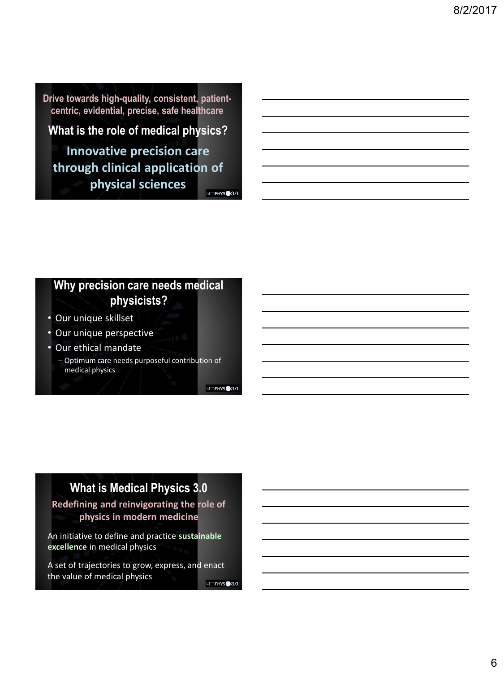**Drive towards high-quality, consistent, patientcentric, evidential, precise, safe healthcare**

# **What is the role of medical physics?**

**Innovative precision care through clinical application of physical sciences**

MDPHYS<sup>3.0</sup>

# **Why precision care needs medical physicists?**

- Our unique skillset
- Our unique perspective
- Our ethical mandate

– Optimum care needs purposeful contribution of medical physics

MDPHYS<sup>3.0</sup>

# **What is Medical Physics 3.0**

**Redefining and reinvigorating the role of physics in modern medicine**

An initiative to define and practice **sustainable excellence** in medical physics

A set of trajectories to grow, express, and enact the value of medical physics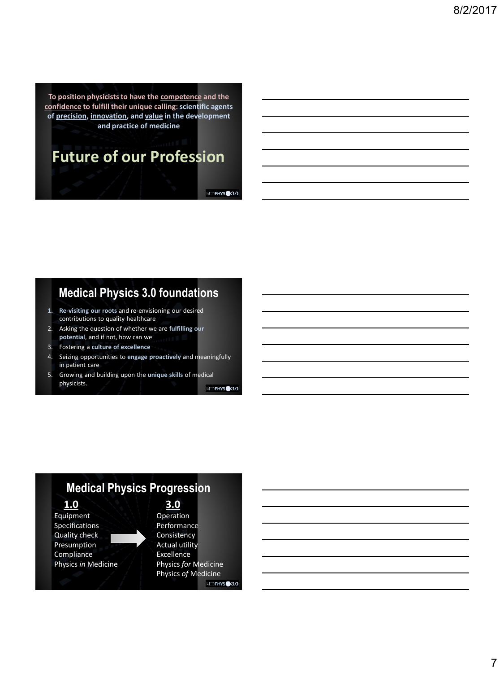**To position physicists to have the competence and the confidence to fulfill their unique calling: scientific agents of precision, innovation, and value in the development and practice of medicine** 

# **Future of our Profession**

MEDPHYS<sup>3.0</sup>

# **Medical Physics 3.0 foundations**

- **1. Re-visiting our roots** and re-envisioning our desired contributions to quality healthcare
- 2. Asking the question of whether we are **fulfilling our potential**, and if not, how can we
- 3. Fostering a **culture of excellence**
- 4. Seizing opportunities to **engage proactively** and meaningfully in patient care
- 5. Growing and building upon the **unique skills** of medical physicists. MDPHYS<sup>3.0</sup>

**Medical Physics Progression 1.0 3.0** Equipment Operation Specifications Performance<br>Quality check **Property** Consistency Quality check Presumption **Actual utility** Compliance Excellence Physics *in* Medicine Physics *for* Medicine Physics *of* Medicine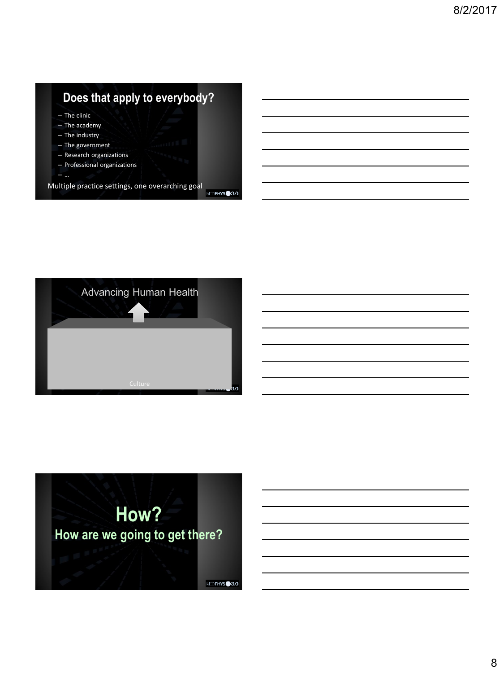# **Does that apply to everybody?**

– The clinic

- The academy
- The industry
- The government
- Research organizations
- Professional organizations – …

Multiple practice settings, one overarching goal



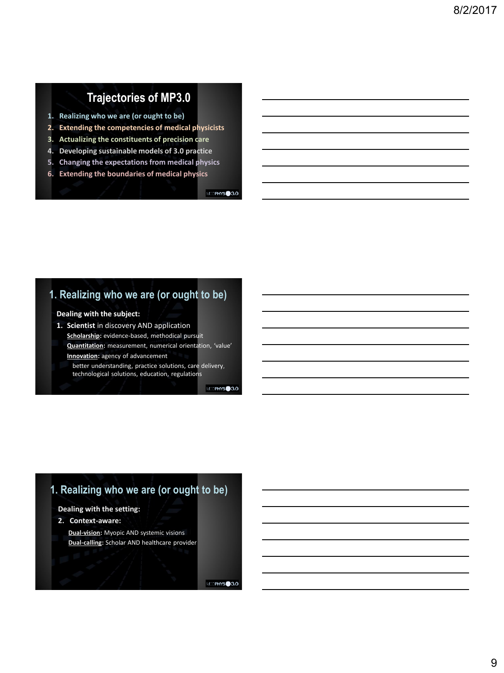# **Trajectories of MP3.0**

- **1. Realizing who we are (or ought to be)**
- **2. Extending the competencies of medical physicists**
- **3. Actualizing the constituents of precision care**
- **4. Developing sustainable models of 3.0 practice**
- **5. Changing the expectations from medical physics**
- **6. Extending the boundaries of medical physics**

MEDPHYS<sup>3.0</sup>

## **1. Realizing who we are (or ought to be)**

#### **Dealing with the subject:**

- **1. Scientist** in discovery AND application
- **Scholarship:** evidence-based, methodical pursuit **Quantitation:** measurement, numerical orientation, 'value' **Innovation:** agency of advancement
	- better understanding, practice solutions, care delivery, technological solutions, education, regulations

MEDPHYS<sup>3.0</sup>

# **1. Realizing who we are (or ought to be)**

#### **Dealing with the setting:**

**2. Context-aware:** 

**Dual-vision:** Myopic AND systemic visions **Dual-calling:** Scholar AND healthcare provider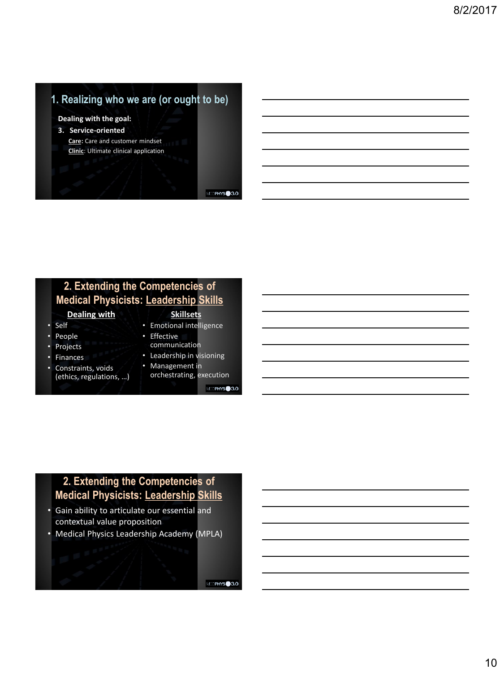# **1. Realizing who we are (or ought to be)**

#### **Dealing with the goal:**

**3. Service-oriented Care:** Care and customer mindset **Clinic**: Ultimate clinical application

MEDPHYS<sup>3.0</sup>

## **2. Extending the Competencies of Medical Physicists: Leadership Skills**

#### **Dealing with**

- Self
- People
- **Projects**
- **Finances**
- Constraints, voids (ethics, regulations, …)
- **Skillsets** • Emotional intelligence
- Effective
	- communication
- Leadership in visioning
- Management in
	- orchestrating, execution
		- MEDPHYS<sup>3.0</sup>

# **2. Extending the Competencies of Medical Physicists: Leadership Skills**

- Gain ability to articulate our essential and contextual value proposition
- Medical Physics Leadership Academy (MPLA)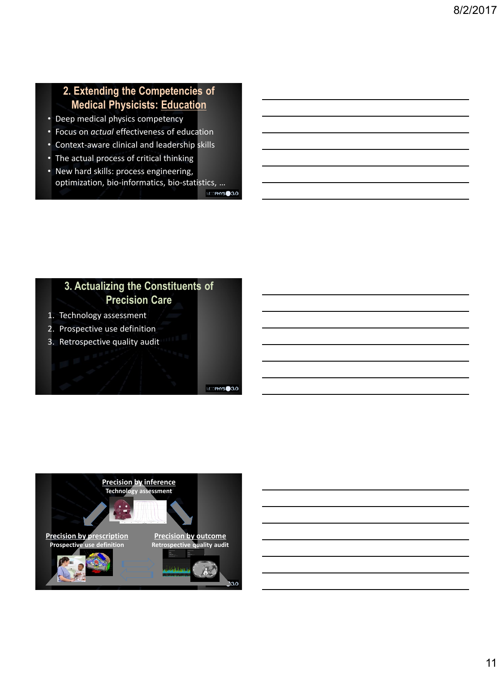# **2. Extending the Competencies of Medical Physicists: Education**

- Deep medical physics competency
- Focus on *actual* effectiveness of education
- Context-aware clinical and leadership skills
- The actual process of critical thinking
- New hard skills: process engineering, optimization, bio-informatics, bio-statistics, … MEDPHYS<sup>3.0</sup>

# **3. Actualizing the Constituents of Precision Care**

- 1. Technology assessment
- 2. Prospective use definition
- 3. Retrospective quality audit

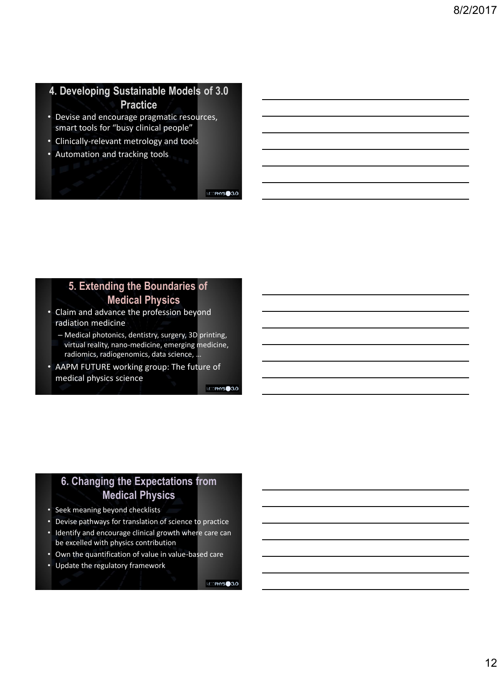# **4. Developing Sustainable Models of 3.0 Practice**

- Devise and encourage pragmatic resources, smart tools for "busy clinical people"
- Clinically-relevant metrology and tools
- Automation and tracking tools

MEDPHYS<sup>3.0</sup>

### **5. Extending the Boundaries of Medical Physics**

- Claim and advance the profession beyond radiation medicine
	- Medical photonics, dentistry, surgery, 3D printing, virtual reality, nano-medicine, emerging medicine, radiomics, radiogenomics, data science, …
- AAPM FUTURE working group: The future of medical physics science

MEDPHYS<sup>3.0</sup>

# **6. Changing the Expectations from Medical Physics**

- Seek meaning beyond checklists
- Devise pathways for translation of science to practice
- Identify and encourage clinical growth where care can be excelled with physics contribution
- Own the quantification of value in value-based care
- Update the regulatory framework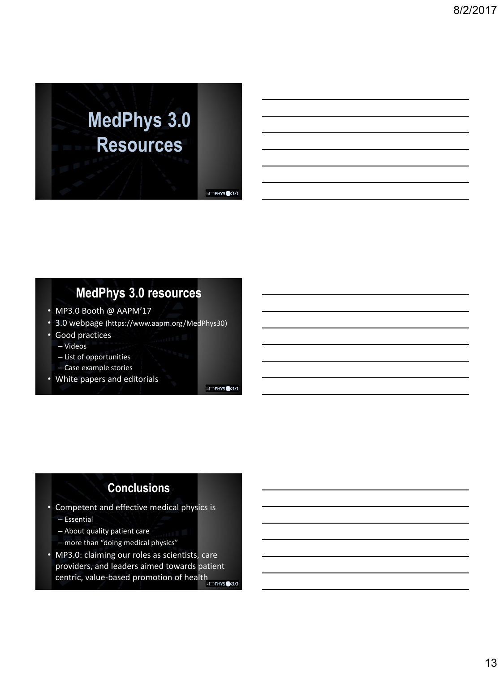# **MedPhys 3.0 Resources**

MEDPHYS<sup>3.0</sup>

# **MedPhys 3.0 resources**

- MP3.0 Booth @ AAPM'17
- 3.0 webpage (https://www.aapm.org/MedPhys30)
- Good practices
- Videos
- List of opportunities
- Case example stories
- White papers and editorials

MDPHYS<sup>3.0</sup>

# **Conclusions**

- Competent and effective medical physics is
	- Essential
	- About quality patient care
	- more than "doing medical physics"
- MP3.0: claiming our roles as scientists, care providers, and leaders aimed towards patient centric, value-based promotion of health